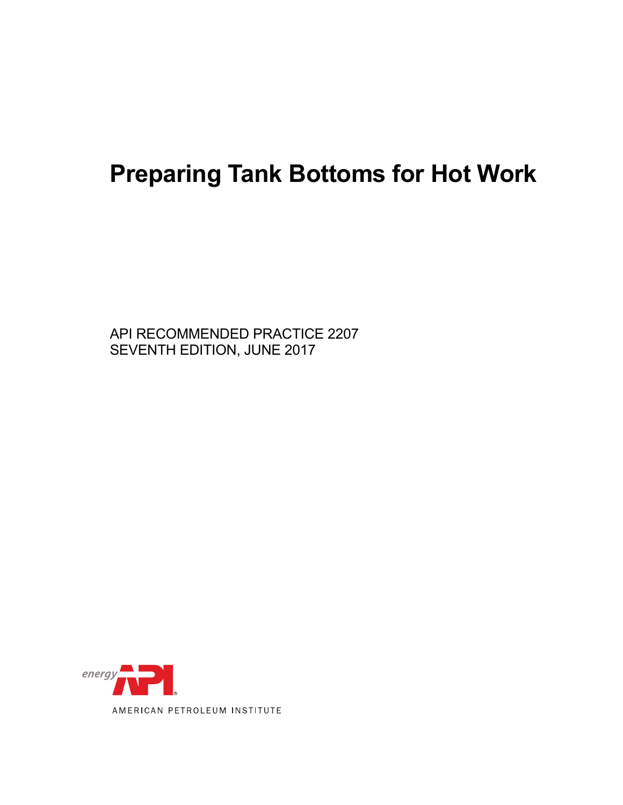# **Preparing Tank Bottoms for Hot Work**

API RECOMMENDED PRACTICE 2207 SEVENTH EDITION, JUNE 2017

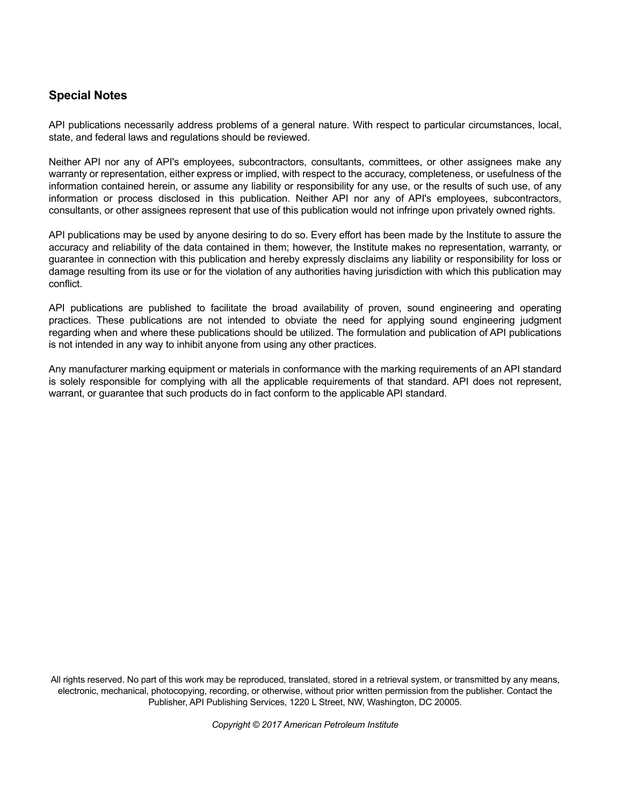# **Special Notes**

API publications necessarily address problems of a general nature. With respect to particular circumstances, local, state, and federal laws and regulations should be reviewed.

Neither API nor any of API's employees, subcontractors, consultants, committees, or other assignees make any warranty or representation, either express or implied, with respect to the accuracy, completeness, or usefulness of the information contained herein, or assume any liability or responsibility for any use, or the results of such use, of any information or process disclosed in this publication. Neither API nor any of API's employees, subcontractors, consultants, or other assignees represent that use of this publication would not infringe upon privately owned rights.

API publications may be used by anyone desiring to do so. Every effort has been made by the Institute to assure the accuracy and reliability of the data contained in them; however, the Institute makes no representation, warranty, or guarantee in connection with this publication and hereby expressly disclaims any liability or responsibility for loss or damage resulting from its use or for the violation of any authorities having jurisdiction with which this publication may conflict.

API publications are published to facilitate the broad availability of proven, sound engineering and operating practices. These publications are not intended to obviate the need for applying sound engineering judgment regarding when and where these publications should be utilized. The formulation and publication of API publications is not intended in any way to inhibit anyone from using any other practices.

Any manufacturer marking equipment or materials in conformance with the marking requirements of an API standard is solely responsible for complying with all the applicable requirements of that standard. API does not represent, warrant, or guarantee that such products do in fact conform to the applicable API standard.

All rights reserved. No part of this work may be reproduced, translated, stored in a retrieval system, or transmitted by any means, electronic, mechanical, photocopying, recording, or otherwise, without prior written permission from the publisher. Contact the Publisher, API Publishing Services, 1220 L Street, NW, Washington, DC 20005.

*Copyright © 2017 American Petroleum Institute*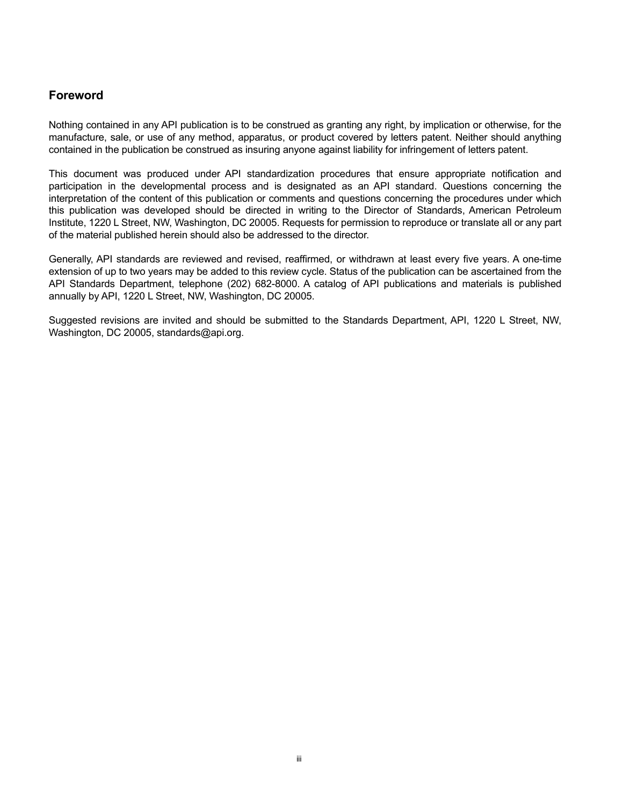# **Foreword**

Nothing contained in any API publication is to be construed as granting any right, by implication or otherwise, for the manufacture, sale, or use of any method, apparatus, or product covered by letters patent. Neither should anything contained in the publication be construed as insuring anyone against liability for infringement of letters patent.

This document was produced under API standardization procedures that ensure appropriate notification and participation in the developmental process and is designated as an API standard. Questions concerning the interpretation of the content of this publication or comments and questions concerning the procedures under which this publication was developed should be directed in writing to the Director of Standards, American Petroleum Institute, 1220 L Street, NW, Washington, DC 20005. Requests for permission to reproduce or translate all or any part of the material published herein should also be addressed to the director.

Generally, API standards are reviewed and revised, reaffirmed, or withdrawn at least every five years. A one-time extension of up to two years may be added to this review cycle. Status of the publication can be ascertained from the API Standards Department, telephone (202) 682-8000. A catalog of API publications and materials is published annually by API, 1220 L Street, NW, Washington, DC 20005.

Suggested revisions are invited and should be submitted to the Standards Department, API, 1220 L Street, NW, Washington, DC 20005, standards@api.org.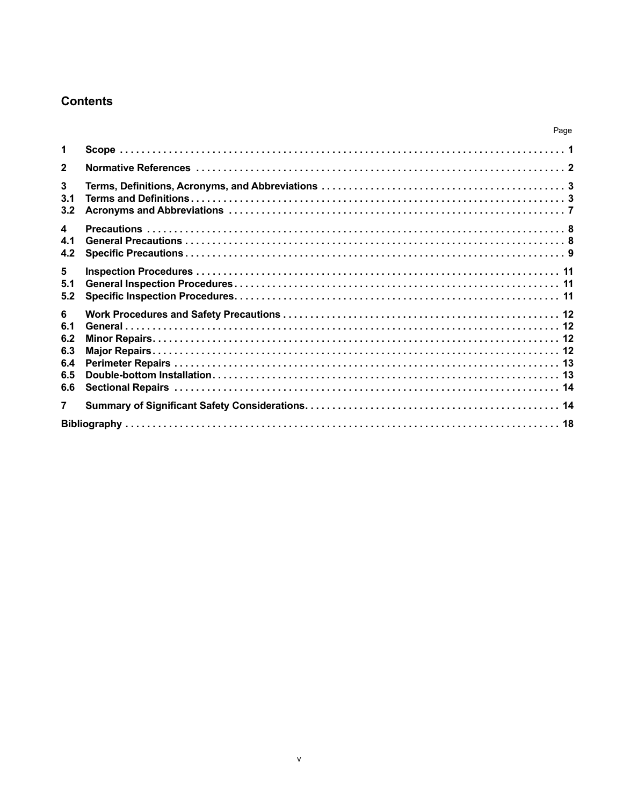# **Contents**

| 1              |  |
|----------------|--|
| $\mathbf{2}$   |  |
| 3              |  |
| 3.1<br>3.2     |  |
| 4              |  |
| 4.1            |  |
| 4.2            |  |
| 5              |  |
| 5.1<br>5.2     |  |
| 6              |  |
| 6.1            |  |
| 6.2<br>6.3     |  |
| 6.4            |  |
| 6.5            |  |
| 6.6            |  |
| $\overline{7}$ |  |
|                |  |

Page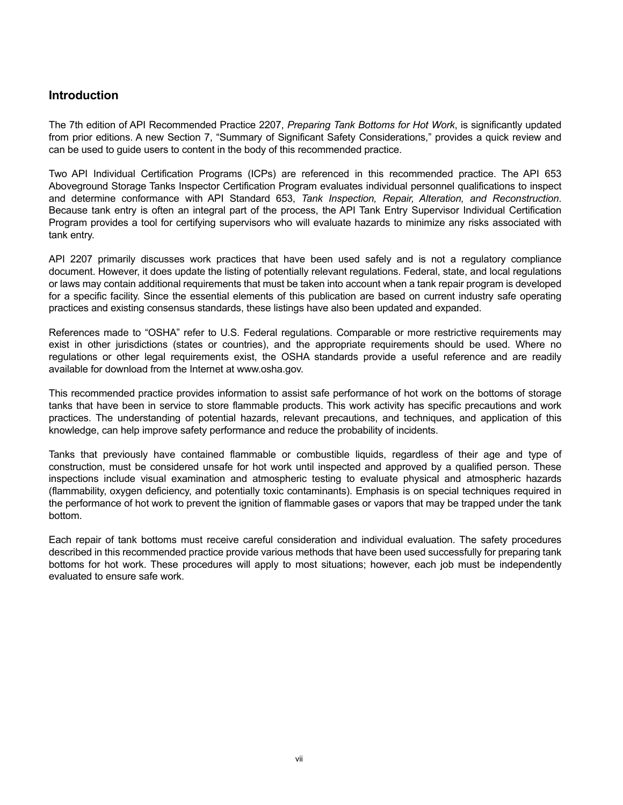# **Introduction**

The 7th edition of API Recommended Practice 2207, *Preparing Tank Bottoms for Hot Work*, is significantly updated from prior editions. A new Section 7, "Summary of Significant Safety Considerations," provides a quick review and can be used to guide users to content in the body of this recommended practice.

Two API Individual Certification Programs (ICPs) are referenced in this recommended practice. The API 653 Aboveground Storage Tanks Inspector Certification Program evaluates individual personnel qualifications to inspect and determine conformance with API Standard 653, *Tank Inspection, Repair, Alteration, and Reconstruction*. Because tank entry is often an integral part of the process, the API Tank Entry Supervisor Individual Certification Program provides a tool for certifying supervisors who will evaluate hazards to minimize any risks associated with tank entry.

API 2207 primarily discusses work practices that have been used safely and is not a regulatory compliance document. However, it does update the listing of potentially relevant regulations. Federal, state, and local regulations or laws may contain additional requirements that must be taken into account when a tank repair program is developed for a specific facility. Since the essential elements of this publication are based on current industry safe operating practices and existing consensus standards, these listings have also been updated and expanded.

References made to "OSHA" refer to U.S. Federal regulations. Comparable or more restrictive requirements may exist in other jurisdictions (states or countries), and the appropriate requirements should be used. Where no regulations or other legal requirements exist, the OSHA standards provide a useful reference and are readily available for download from the Internet at www.osha.gov.

This recommended practice provides information to assist safe performance of hot work on the bottoms of storage tanks that have been in service to store flammable products. This work activity has specific precautions and work practices. The understanding of potential hazards, relevant precautions, and techniques, and application of this knowledge, can help improve safety performance and reduce the probability of incidents.

Tanks that previously have contained flammable or combustible liquids, regardless of their age and type of construction, must be considered unsafe for hot work until inspected and approved by a qualified person. These inspections include visual examination and atmospheric testing to evaluate physical and atmospheric hazards (flammability, oxygen deficiency, and potentially toxic contaminants). Emphasis is on special techniques required in the performance of hot work to prevent the ignition of flammable gases or vapors that may be trapped under the tank bottom.

Each repair of tank bottoms must receive careful consideration and individual evaluation. The safety procedures described in this recommended practice provide various methods that have been used successfully for preparing tank bottoms for hot work. These procedures will apply to most situations; however, each job must be independently evaluated to ensure safe work.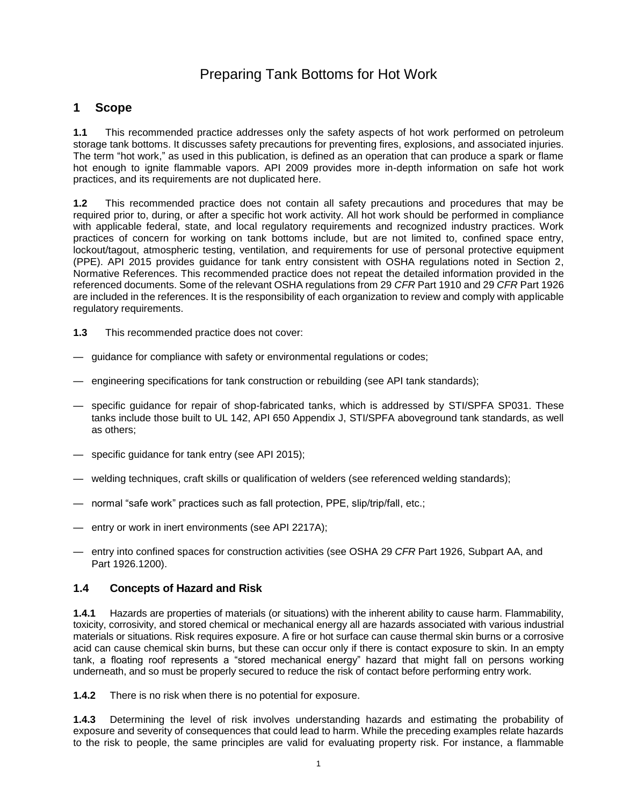# Preparing Tank Bottoms for Hot Work

# **1 Scope**

**1.1** This recommended practice addresses only the safety aspects of hot work performed on petroleum storage tank bottoms. It discusses safety precautions for preventing fires, explosions, and associated injuries. The term "hot work," as used in this publication, is defined as an operation that can produce a spark or flame hot enough to ignite flammable vapors. API 2009 provides more in-depth information on safe hot work practices, and its requirements are not duplicated here.

**1.2** This recommended practice does not contain all safety precautions and procedures that may be required prior to, during, or after a specific hot work activity. All hot work should be performed in compliance with applicable federal, state, and local regulatory requirements and recognized industry practices. Work practices of concern for working on tank bottoms include, but are not limited to, confined space entry, lockout/tagout, atmospheric testing, ventilation, and requirements for use of personal protective equipment (PPE). API 2015 provides guidance for tank entry consistent with OSHA regulations noted in Section 2, Normative References. This recommended practice does not repeat the detailed information provided in the referenced documents. Some of the relevant OSHA regulations from 29 *CFR* Part 1910 and 29 *CFR* Part 1926 are included in the references. It is the responsibility of each organization to review and comply with applicable regulatory requirements.

- **1.3** This recommended practice does not cover:
- guidance for compliance with safety or environmental regulations or codes;
- engineering specifications for tank construction or rebuilding (see API tank standards);
- specific guidance for repair of shop-fabricated tanks, which is addressed by STI/SPFA SP031. These tanks include those built to UL 142, API 650 Appendix J, STI/SPFA aboveground tank standards, as well as others;
- specific guidance for tank entry (see API 2015);
- welding techniques, craft skills or qualification of welders (see referenced welding standards);
- normal "safe work" practices such as fall protection, PPE, slip/trip/fall, etc.;
- entry or work in inert environments (see API 2217A);
- entry into confined spaces for construction activities (see OSHA 29 *CFR* Part 1926, Subpart AA, and Part 1926.1200).

### **1.4 Concepts of Hazard and Risk**

**1.4.1** Hazards are properties of materials (or situations) with the inherent ability to cause harm. Flammability, toxicity, corrosivity, and stored chemical or mechanical energy all are hazards associated with various industrial materials or situations. Risk requires exposure. A fire or hot surface can cause thermal skin burns or a corrosive acid can cause chemical skin burns, but these can occur only if there is contact exposure to skin. In an empty tank, a floating roof represents a "stored mechanical energy" hazard that might fall on persons working underneath, and so must be properly secured to reduce the risk of contact before performing entry work.

**1.4.2** There is no risk when there is no potential for exposure.

**1.4.3** Determining the level of risk involves understanding hazards and estimating the probability of exposure and severity of consequences that could lead to harm. While the preceding examples relate hazards to the risk to people, the same principles are valid for evaluating property risk. For instance, a flammable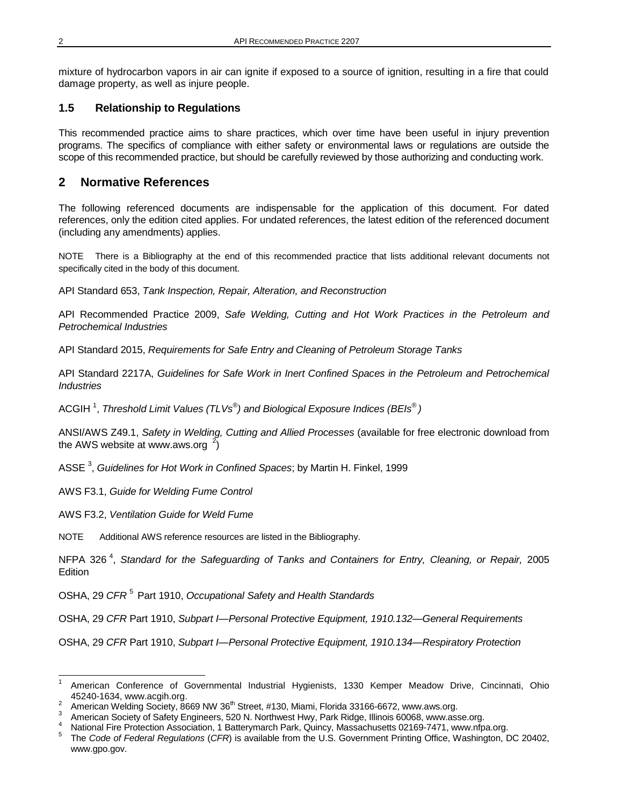mixture of hydrocarbon vapors in air can ignite if exposed to a source of ignition, resulting in a fire that could damage property, as well as injure people.

# **1.5 Relationship to Regulations**

This recommended practice aims to share practices, which over time have been useful in injury prevention programs. The specifics of compliance with either safety or environmental laws or regulations are outside the scope of this recommended practice, but should be carefully reviewed by those authorizing and conducting work.

# **2 Normative References**

The following referenced documents are indispensable for the application of this document. For dated references, only the edition cited applies. For undated references, the latest edition of the referenced document (including any amendments) applies.

NOTE There is a Bibliography at the end of this recommended practice that lists additional relevant documents not specifically cited in the body of this document.

API Standard 653, *Tank Inspection, Repair, Alteration, and Reconstruction*

API Recommended Practice 2009, *Safe Welding, Cutting and Hot Work Practices in the Petroleum and Petrochemical Industries*

API Standard 2015, *Requirements for Safe Entry and Cleaning of Petroleum Storage Tanks* 

API Standard 2217A, *Guidelines for Safe Work in Inert Confined Spaces in the Petroleum and Petrochemical Industries* 

ACGIH <sup>1</sup> , *Threshold Limit Values (TLVs® ) and Biological Exposure Indices (BEIs® )*

ANSI/AWS Z49.1, *Safety in Welding, Cutting and Allied Processes* (available for free electronic download from the AWS website at www.aws.org  $\frac{2}{7}$ 

ASSE <sup>3</sup> , *Guidelines for Hot Work in Confined Spaces*; by Martin H. Finkel, 1999

AWS F3.1, *Guide for Welding Fume Control* 

AWS F3.2, *Ventilation Guide for Weld Fume*

NOTE Additional AWS reference resources are listed in the Bibliography.

NFPA 326<sup>4</sup>, Standard for the Safeguarding of Tanks and Containers for Entry, Cleaning, or Repair, 2005 **Edition** 

OSHA, 29 CFR<sup>5</sup> Part 1910, Occupational Safety and Health Standards

OSHA, 29 *CFR* Part 1910, *Subpart I—Personal Protective Equipment, 1910.132—General Requirements*

OSHA, 29 *CFR* Part 1910, *Subpart I—Personal Protective Equipment, 1910.134—Respiratory Protection*

l 1 American Conference of Governmental Industrial Hygienists, 1330 Kemper Meadow Drive, Cincinnati, Ohio 45240-1634, www.acgih.org.

<sup>2</sup> American Welding Society, 8669 NW 36<sup>th</sup> Street, #130, Miami, Florida 33166-6672, www.aws.org.

<sup>&</sup>lt;sup>3</sup> American Society of Safety Engineers, 520 N. Northwest Hwy, Park Ridge, Illinois 60068, www.asse.org.

<sup>4</sup> National Fire Protection Association, 1 Batterymarch Park, Quincy, Massachusetts 02169-7471, www.nfpa.org.

<sup>5</sup> The *Code of Federal Regulations* (*CFR*) is available from the U.S. Government Printing Office, Washington, DC 20402, www.gpo.gov.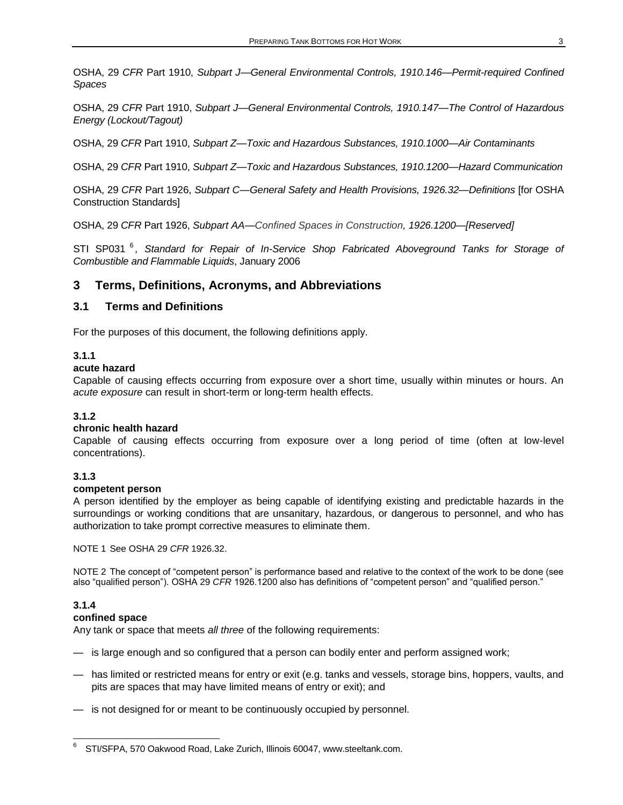OSHA, 29 *CFR* Part 1910, *Subpart J—General Environmental Controls, 1910.146—Permit-required Confined Spaces*

OSHA, 29 *CFR* Part 1910, *Subpart J—General Environmental Controls, 1910.147—The Control of Hazardous Energy (Lockout/Tagout)*

OSHA, 29 *CFR* Part 1910, *Subpart Z—Toxic and Hazardous Substances, 1910.1000—Air Contaminants*

OSHA, 29 *CFR* Part 1910, *Subpart Z—Toxic and Hazardous Substances, 1910.1200—Hazard Communication*

OSHA, 29 *CFR* Part 1926, *Subpart C—General Safety and Health Provisions, 1926.32—Definitions* [for OSHA Construction Standards]

OSHA, 29 *CFR* Part 1926, *Subpart AA—Confined Spaces in Construction, 1926.1200—[Reserved]*

STI SP031<sup>6</sup>, Standard for Repair of In-Service Shop Fabricated Aboveground Tanks for Storage of *Combustible and Flammable Liquids*, January 2006

# **3 Terms, Definitions, Acronyms, and Abbreviations**

### **3.1 Terms and Definitions**

For the purposes of this document, the following definitions apply.

### **3.1.1**

### **acute hazard**

Capable of causing effects occurring from exposure over a short time, usually within minutes or hours. An *acute exposure* can result in short-term or long-term health effects.

### **3.1.2**

### **chronic health hazard**

Capable of causing effects occurring from exposure over a long period of time (often at low-level concentrations).

### **3.1.3**

### **competent person**

A person identified by the employer as being capable of identifying existing and predictable hazards in the surroundings or working conditions that are unsanitary, hazardous, or dangerous to personnel, and who has authorization to take prompt corrective measures to eliminate them.

NOTE 1 See OSHA 29 *CFR* 1926.32.

NOTE 2 The concept of "competent person" is performance based and relative to the context of the work to be done (see also "qualified person"). OSHA 29 *CFR* 1926.1200 also has definitions of "competent person" and "qualified person."

### **3.1.4**

l

### **confined space**

Any tank or space that meets *all three* of the following requirements:

- is large enough and so configured that a person can bodily enter and perform assigned work;
- has limited or restricted means for entry or exit (e.g. tanks and vessels, storage bins, hoppers, vaults, and pits are spaces that may have limited means of entry or exit); and
- is not designed for or meant to be continuously occupied by personnel.

<sup>6</sup> STI/SFPA, 570 Oakwood Road, Lake Zurich, Illinois 60047, www.steeltank.com.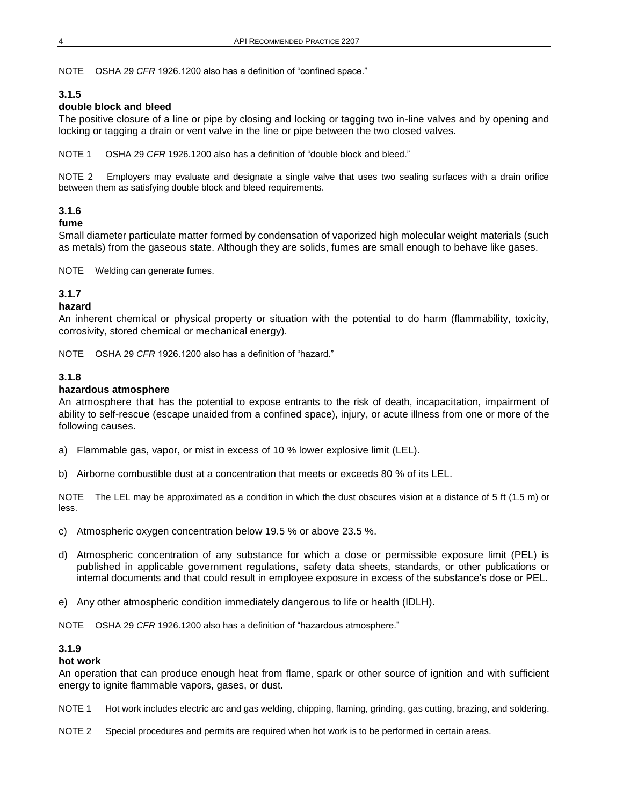NOTE OSHA 29 *CFR* 1926.1200 also has a definition of "confined space."

### **3.1.5**

### **double block and bleed**

The positive closure of a line or pipe by closing and locking or tagging two in-line valves and by opening and locking or tagging a drain or vent valve in the line or pipe between the two closed valves.

NOTE 1 OSHA 29 *CFR* 1926.1200 also has a definition of "double block and bleed."

NOTE 2 Employers may evaluate and designate a single valve that uses two sealing surfaces with a drain orifice between them as satisfying double block and bleed requirements.

# **3.1.6**

#### **fume**

Small diameter particulate matter formed by condensation of vaporized high molecular weight materials (such as metals) from the gaseous state. Although they are solids, fumes are small enough to behave like gases.

NOTE Welding can generate fumes.

### **3.1.7**

### **hazard**

An inherent chemical or physical property or situation with the potential to do harm (flammability, toxicity, corrosivity, stored chemical or mechanical energy).

NOTE OSHA 29 *CFR* 1926.1200 also has a definition of "hazard."

### **3.1.8**

#### **hazardous atmosphere**

An atmosphere that has the potential to expose entrants to the risk of death, incapacitation, impairment of ability to self-rescue (escape unaided from a confined space), injury, or acute illness from one or more of the following causes.

- a) Flammable gas, vapor, or mist in excess of 10 % lower explosive limit (LEL).
- b) Airborne combustible dust at a concentration that meets or exceeds 80 % of its LEL.

NOTE The LEL may be approximated as a condition in which the dust obscures vision at a distance of 5 ft (1.5 m) or less.

- c) Atmospheric oxygen concentration below 19.5 % or above 23.5 %.
- d) Atmospheric concentration of any substance for which a dose or permissible exposure limit (PEL) is published in applicable government regulations, safety data sheets, standards, or other publications or internal documents and that could result in employee exposure in excess of the substance's dose or PEL.
- e) Any other atmospheric condition immediately dangerous to life or health (IDLH).

NOTE OSHA 29 *CFR* 1926.1200 also has a definition of "hazardous atmosphere."

### **3.1.9**

#### **hot work**

An operation that can produce enough heat from flame, spark or other source of ignition and with sufficient energy to ignite flammable vapors, gases, or dust.

- NOTE 1 Hot work includes electric arc and gas welding, chipping, flaming, grinding, gas cutting, brazing, and soldering.
- NOTE 2 Special procedures and permits are required when hot work is to be performed in certain areas.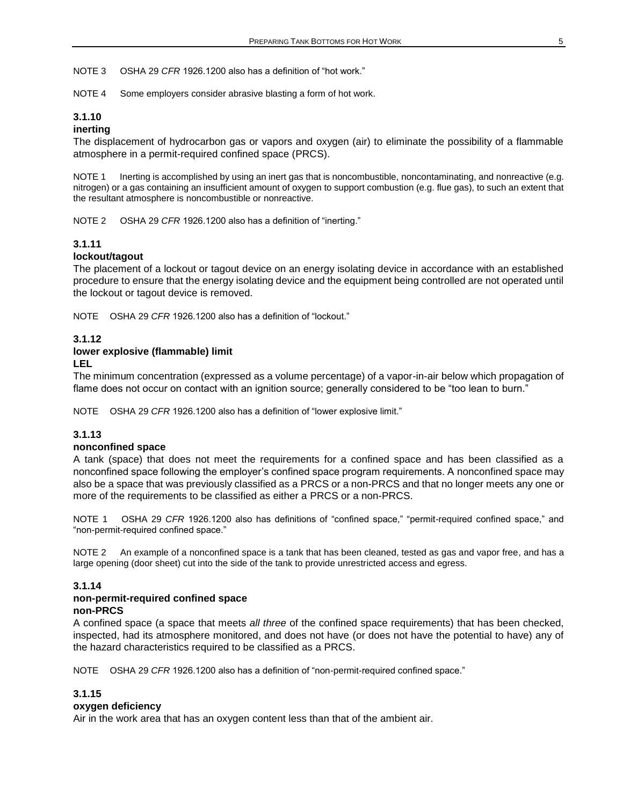NOTE 3 OSHA 29 *CFR* 1926.1200 also has a definition of "hot work."

NOTE 4 Some employers consider abrasive blasting a form of hot work.

# **3.1.10**

### **inerting**

The displacement of hydrocarbon gas or vapors and oxygen (air) to eliminate the possibility of a flammable atmosphere in a permit-required confined space (PRCS).

NOTE 1 Inerting is accomplished by using an inert gas that is noncombustible, noncontaminating, and nonreactive (e.g. nitrogen) or a gas containing an insufficient amount of oxygen to support combustion (e.g. flue gas), to such an extent that the resultant atmosphere is noncombustible or nonreactive.

NOTE 2 OSHA 29 *CFR* 1926.1200 also has a definition of "inerting."

### **3.1.11**

### **lockout/tagout**

The placement of a lockout or tagout device on an energy isolating device in accordance with an established procedure to ensure that the energy isolating device and the equipment being controlled are not operated until the lockout or tagout device is removed.

NOTE OSHA 29 *CFR* 1926.1200 also has a definition of "lockout."

# **3.1.12**

#### **lower explosive (flammable) limit LEL**

The minimum concentration (expressed as a volume percentage) of a vapor-in-air below which propagation of flame does not occur on contact with an ignition source; generally considered to be "too lean to burn."

NOTE OSHA 29 *CFR* 1926.1200 also has a definition of "lower explosive limit."

### **3.1.13**

### **nonconfined space**

A tank (space) that does not meet the requirements for a confined space and has been classified as a nonconfined space following the employer's confined space program requirements. A nonconfined space may also be a space that was previously classified as a PRCS or a non-PRCS and that no longer meets any one or more of the requirements to be classified as either a PRCS or a non-PRCS.

NOTE 1 OSHA 29 *CFR* 1926.1200 also has definitions of "confined space," "permit-required confined space," and "non-permit-required confined space."

NOTE 2 An example of a nonconfined space is a tank that has been cleaned, tested as gas and vapor free, and has a large opening (door sheet) cut into the side of the tank to provide unrestricted access and egress.

### **3.1.14**

#### **non-permit-required confined space non-PRCS**

A confined space (a space that meets *all three* of the confined space requirements) that has been checked, inspected, had its atmosphere monitored, and does not have (or does not have the potential to have) any of the hazard characteristics required to be classified as a PRCS.

NOTE OSHA 29 *CFR* 1926.1200 also has a definition of "non-permit-required confined space."

### **3.1.15**

### **oxygen deficiency**

Air in the work area that has an oxygen content less than that of the ambient air.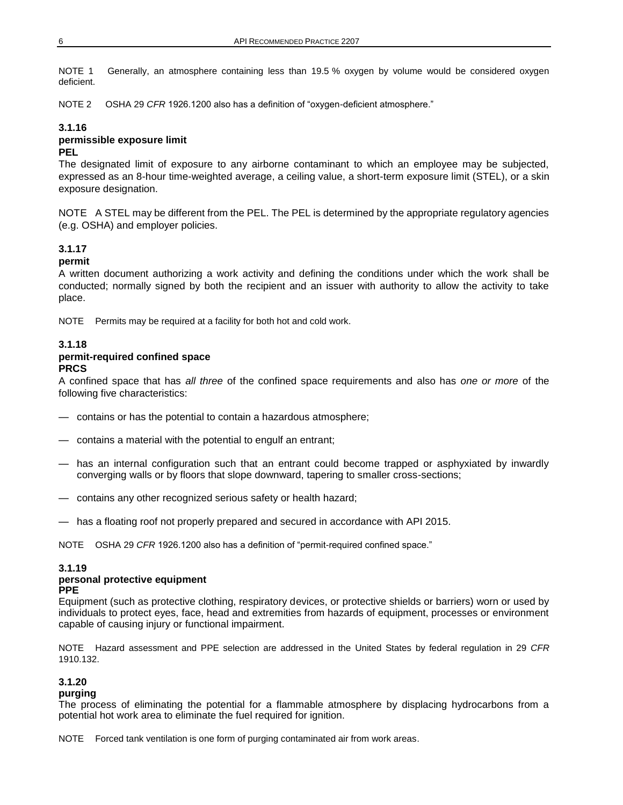NOTE 1 Generally, an atmosphere containing less than 19.5 % oxygen by volume would be considered oxygen deficient.

NOTE 2 OSHA 29 *CFR* 1926.1200 also has a definition of "oxygen-deficient atmosphere."

# **3.1.16**

# **permissible exposure limit**

### **PEL**

The designated limit of exposure to any airborne contaminant to which an employee may be subjected, expressed as an 8-hour time-weighted average, a ceiling value, a short-term exposure limit (STEL), or a skin exposure designation.

NOTE A STEL may be different from the PEL. The PEL is determined by the appropriate regulatory agencies (e.g. OSHA) and employer policies.

# **3.1.17**

### **permit**

A written document authorizing a work activity and defining the conditions under which the work shall be conducted; normally signed by both the recipient and an issuer with authority to allow the activity to take place.

NOTE Permits may be required at a facility for both hot and cold work.

# **3.1.18 permit-required confined space**

### **PRCS**

A confined space that has *all three* of the confined space requirements and also has *one or more* of the following five characteristics:

- contains or has the potential to contain a hazardous atmosphere;
- contains a material with the potential to engulf an entrant;
- has an internal configuration such that an entrant could become trapped or asphyxiated by inwardly converging walls or by floors that slope downward, tapering to smaller cross-sections;
- contains any other recognized serious safety or health hazard;
- has a floating roof not properly prepared and secured in accordance with API 2015.

NOTE OSHA 29 *CFR* 1926.1200 also has a definition of "permit-required confined space."

### **3.1.19**

# **personal protective equipment**

# **PPE**

Equipment (such as protective clothing, respiratory devices, or protective shields or barriers) worn or used by individuals to protect eyes, face, head and extremities from hazards of equipment, processes or environment capable of causing injury or functional impairment.

NOTE Hazard assessment and PPE selection are addressed in the United States by federal regulation in 29 *CFR* 1910.132.

### **3.1.20**

### **purging**

The process of eliminating the potential for a flammable atmosphere by displacing hydrocarbons from a potential hot work area to eliminate the fuel required for ignition.

NOTE Forced tank ventilation is one form of purging contaminated air from work areas.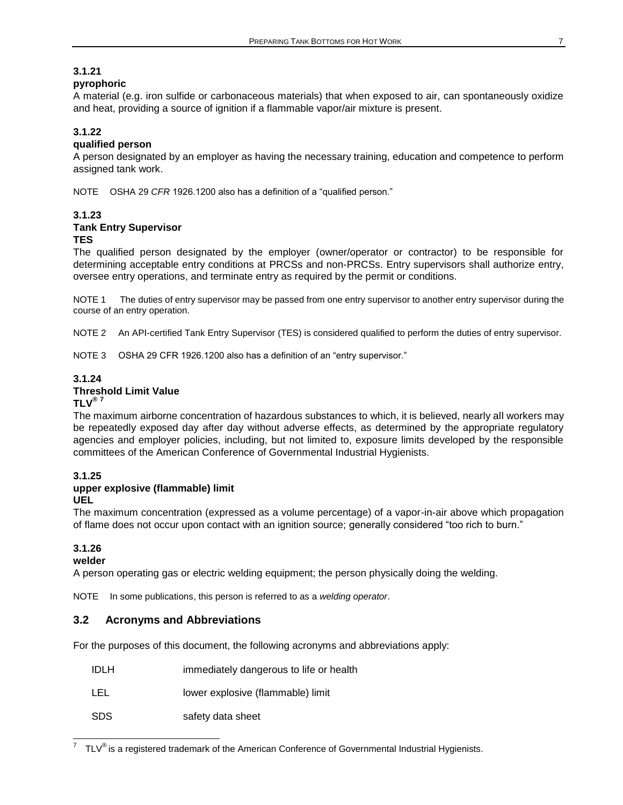# **3.1.21**

# **pyrophoric**

A material (e.g. iron sulfide or carbonaceous materials) that when exposed to air, can spontaneously oxidize and heat, providing a source of ignition if a flammable vapor/air mixture is present.

# **3.1.22**

### **qualified person**

A person designated by an employer as having the necessary training, education and competence to perform assigned tank work.

NOTE OSHA 29 *CFR* 1926.1200 also has a definition of a "qualified person."

# **3.1.23**

### **Tank Entry Supervisor**

### **TES**

The qualified person designated by the employer (owner/operator or contractor) to be responsible for determining acceptable entry conditions at PRCSs and non-PRCSs. Entry supervisors shall authorize entry, oversee entry operations, and terminate entry as required by the permit or conditions.

NOTE 1 The duties of entry supervisor may be passed from one entry supervisor to another entry supervisor during the course of an entry operation.

NOTE 2 An API-certified Tank Entry Supervisor (TES) is considered qualified to perform the duties of entry supervisor.

NOTE 3 OSHA 29 CFR 1926.1200 also has a definition of an "entry supervisor."

### **3.1.24 Threshold Limit Value**

# **TLV® <sup>7</sup>**

The maximum airborne concentration of hazardous substances to which, it is believed, nearly all workers may be repeatedly exposed day after day without adverse effects, as determined by the appropriate regulatory agencies and employer policies, including, but not limited to, exposure limits developed by the responsible committees of the American Conference of Governmental Industrial Hygienists.

### **3.1.25**

# **upper explosive (flammable) limit**

### **UEL**

The maximum concentration (expressed as a volume percentage) of a vapor-in-air above which propagation of flame does not occur upon contact with an ignition source; generally considered "too rich to burn."

### **3.1.26**

### **welder**

A person operating gas or electric welding equipment; the person physically doing the welding.

NOTE In some publications, this person is referred to as a *welding operator*.

### **3.2 Acronyms and Abbreviations**

For the purposes of this document, the following acronyms and abbreviations apply:

| <b>IDLH</b> | immediately dangerous to life or health |
|-------------|-----------------------------------------|
| LEL         | lower explosive (flammable) limit       |
| <b>SDS</b>  | safety data sheet                       |

l 7 TLV<sup>®</sup> is a registered trademark of the American Conference of Governmental Industrial Hygienists.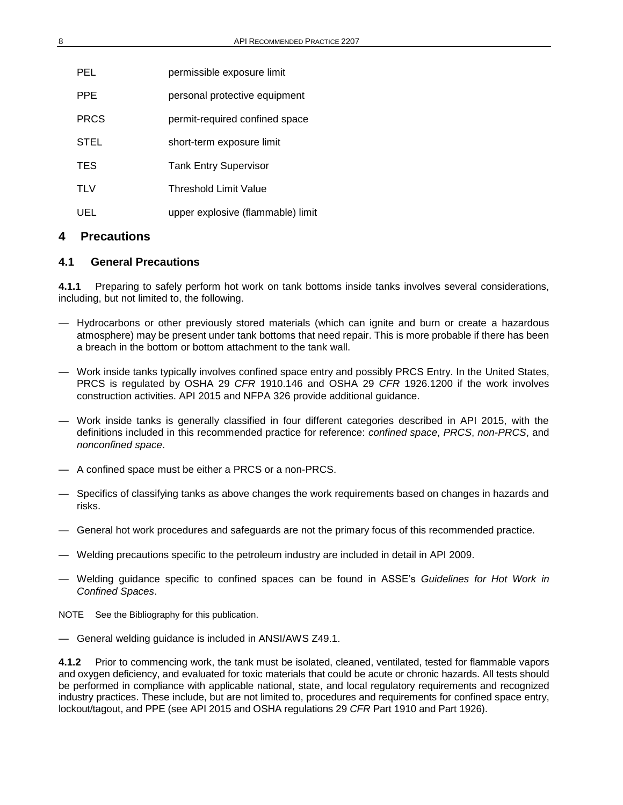| PFI         | permissible exposure limit        |
|-------------|-----------------------------------|
| PPE         | personal protective equipment     |
| <b>PRCS</b> | permit-required confined space    |
| STEL        | short-term exposure limit         |
| TES         | <b>Tank Entry Supervisor</b>      |
| <b>TLV</b>  | Threshold Limit Value             |
| UEL         | upper explosive (flammable) limit |

# **4 Precautions**

### **4.1 General Precautions**

**4.1.1** Preparing to safely perform hot work on tank bottoms inside tanks involves several considerations, including, but not limited to, the following.

- Hydrocarbons or other previously stored materials (which can ignite and burn or create a hazardous atmosphere) may be present under tank bottoms that need repair. This is more probable if there has been a breach in the bottom or bottom attachment to the tank wall.
- Work inside tanks typically involves confined space entry and possibly PRCS Entry. In the United States, PRCS is regulated by OSHA 29 *CFR* 1910.146 and OSHA 29 *CFR* 1926.1200 if the work involves construction activities. API 2015 and NFPA 326 provide additional guidance.
- Work inside tanks is generally classified in four different categories described in API 2015, with the definitions included in this recommended practice for reference: *confined space*, *PRCS*, *non-PRCS*, and *nonconfined space*.
- A confined space must be either a PRCS or a non-PRCS.
- Specifics of classifying tanks as above changes the work requirements based on changes in hazards and risks.
- General hot work procedures and safeguards are not the primary focus of this recommended practice.
- Welding precautions specific to the petroleum industry are included in detail in API 2009.
- Welding guidance specific to confined spaces can be found in ASSE's *Guidelines for Hot Work in Confined Spaces*.
- NOTE See the Bibliography for this publication.
- General welding guidance is included in ANSI/AWS Z49.1.

**4.1.2** Prior to commencing work, the tank must be isolated, cleaned, ventilated, tested for flammable vapors and oxygen deficiency, and evaluated for toxic materials that could be acute or chronic hazards. All tests should be performed in compliance with applicable national, state, and local regulatory requirements and recognized industry practices. These include, but are not limited to, procedures and requirements for confined space entry, lockout/tagout, and PPE (see API 2015 and OSHA regulations 29 *CFR* Part 1910 and Part 1926).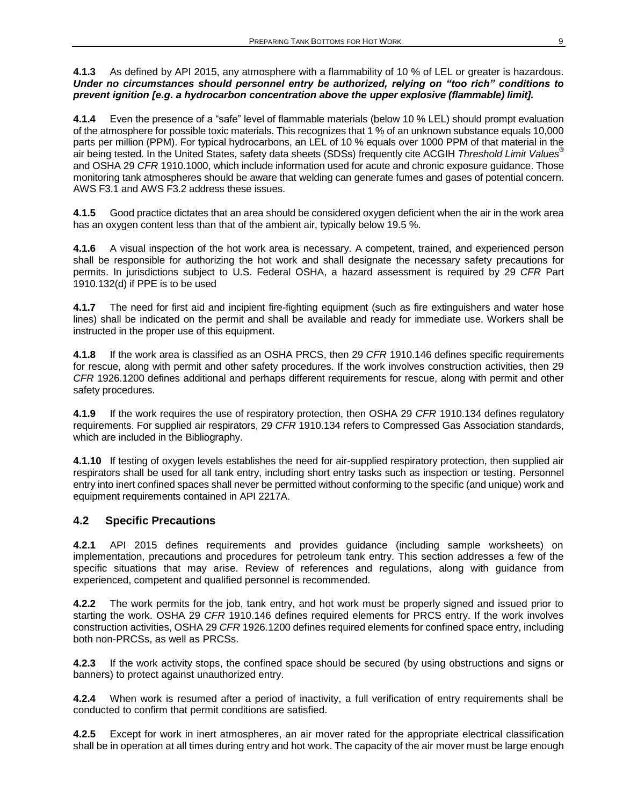**4.1.3** As defined by API 2015, any atmosphere with a flammability of 10 % of LEL or greater is hazardous. *Under no circumstances should personnel entry be authorized, relying on "too rich" conditions to prevent ignition [e.g. a hydrocarbon concentration above the upper explosive (flammable) limit].*

**4.1.4** Even the presence of a "safe" level of flammable materials (below 10 % LEL) should prompt evaluation of the atmosphere for possible toxic materials. This recognizes that 1 % of an unknown substance equals 10,000 parts per million (PPM). For typical hydrocarbons, an LEL of 10 % equals over 1000 PPM of that material in the air being tested. In the United States, safety data sheets (SDSs) frequently cite ACGIH *Threshold Limit Values*® and OSHA 29 *CFR* 1910.1000, which include information used for acute and chronic exposure guidance. Those monitoring tank atmospheres should be aware that welding can generate fumes and gases of potential concern. AWS F3.1 and AWS F3.2 address these issues.

**4.1.5** Good practice dictates that an area should be considered oxygen deficient when the air in the work area has an oxygen content less than that of the ambient air, typically below 19.5 %.

**4.1.6** A visual inspection of the hot work area is necessary. A competent, trained, and experienced person shall be responsible for authorizing the hot work and shall designate the necessary safety precautions for permits. In jurisdictions subject to U.S. Federal OSHA, a hazard assessment is required by 29 *CFR* Part 1910.132(d) if PPE is to be used

**4.1.7** The need for first aid and incipient fire-fighting equipment (such as fire extinguishers and water hose lines) shall be indicated on the permit and shall be available and ready for immediate use. Workers shall be instructed in the proper use of this equipment.

**4.1.8** If the work area is classified as an OSHA PRCS, then 29 *CFR* 1910.146 defines specific requirements for rescue, along with permit and other safety procedures. If the work involves construction activities, then 29 *CFR* 1926.1200 defines additional and perhaps different requirements for rescue, along with permit and other safety procedures.

**4.1.9** If the work requires the use of respiratory protection, then OSHA 29 *CFR* 1910.134 defines regulatory requirements. For supplied air respirators, 29 *CFR* 1910.134 refers to Compressed Gas Association standards, which are included in the Bibliography.

**4.1.10** If testing of oxygen levels establishes the need for air-supplied respiratory protection, then supplied air respirators shall be used for all tank entry, including short entry tasks such as inspection or testing. Personnel entry into inert confined spaces shall never be permitted without conforming to the specific (and unique) work and equipment requirements contained in API 2217A.

# **4.2 Specific Precautions**

**4.2.1** API 2015 defines requirements and provides guidance (including sample worksheets) on implementation, precautions and procedures for petroleum tank entry. This section addresses a few of the specific situations that may arise. Review of references and regulations, along with guidance from experienced, competent and qualified personnel is recommended.

**4.2.2** The work permits for the job, tank entry, and hot work must be properly signed and issued prior to starting the work. OSHA 29 *CFR* 1910.146 defines required elements for PRCS entry. If the work involves construction activities, OSHA 29 *CFR* 1926.1200 defines required elements for confined space entry, including both non-PRCSs, as well as PRCSs.

**4.2.3** If the work activity stops, the confined space should be secured (by using obstructions and signs or banners) to protect against unauthorized entry.

**4.2.4** When work is resumed after a period of inactivity, a full verification of entry requirements shall be conducted to confirm that permit conditions are satisfied.

**4.2.5** Except for work in inert atmospheres, an air mover rated for the appropriate electrical classification shall be in operation at all times during entry and hot work. The capacity of the air mover must be large enough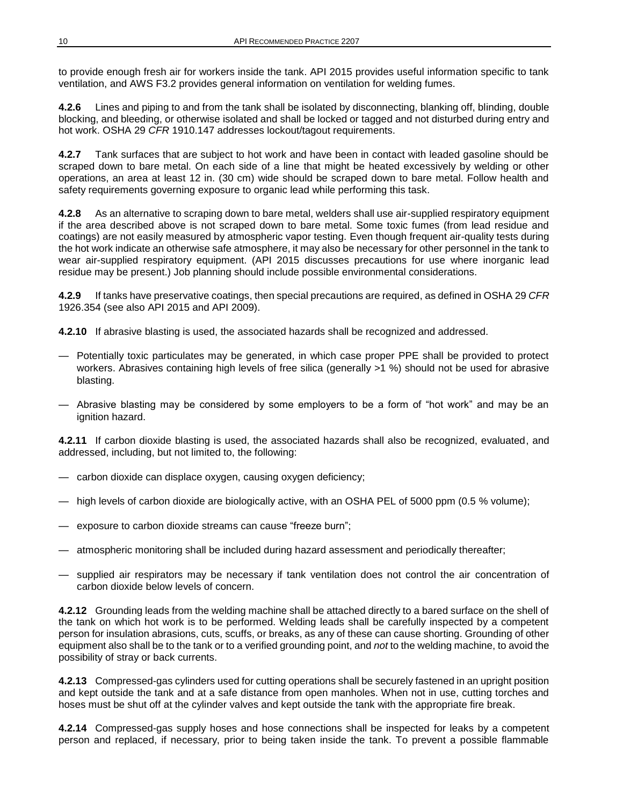to provide enough fresh air for workers inside the tank. API 2015 provides useful information specific to tank ventilation, and AWS F3.2 provides general information on ventilation for welding fumes.

**4.2.6** Lines and piping to and from the tank shall be isolated by disconnecting, blanking off, blinding, double blocking, and bleeding, or otherwise isolated and shall be locked or tagged and not disturbed during entry and hot work. OSHA 29 *CFR* 1910.147 addresses lockout/tagout requirements.

**4.2.7** Tank surfaces that are subject to hot work and have been in contact with leaded gasoline should be scraped down to bare metal. On each side of a line that might be heated excessively by welding or other operations, an area at least 12 in. (30 cm) wide should be scraped down to bare metal. Follow health and safety requirements governing exposure to organic lead while performing this task.

**4.2.8** As an alternative to scraping down to bare metal, welders shall use air-supplied respiratory equipment if the area described above is not scraped down to bare metal. Some toxic fumes (from lead residue and coatings) are not easily measured by atmospheric vapor testing. Even though frequent air-quality tests during the hot work indicate an otherwise safe atmosphere, it may also be necessary for other personnel in the tank to wear air-supplied respiratory equipment. (API 2015 discusses precautions for use where inorganic lead residue may be present.) Job planning should include possible environmental considerations.

**4.2.9** If tanks have preservative coatings, then special precautions are required, as defined in OSHA 29 *CFR* 1926.354 (see also API 2015 and API 2009).

**4.2.10** If abrasive blasting is used, the associated hazards shall be recognized and addressed.

- Potentially toxic particulates may be generated, in which case proper PPE shall be provided to protect workers. Abrasives containing high levels of free silica (generally >1 %) should not be used for abrasive blasting.
- Abrasive blasting may be considered by some employers to be a form of "hot work" and may be an ignition hazard.

**4.2.11** If carbon dioxide blasting is used, the associated hazards shall also be recognized, evaluated, and addressed, including, but not limited to, the following:

- carbon dioxide can displace oxygen, causing oxygen deficiency;
- high levels of carbon dioxide are biologically active, with an OSHA PEL of 5000 ppm (0.5 % volume);
- exposure to carbon dioxide streams can cause "freeze burn";
- atmospheric monitoring shall be included during hazard assessment and periodically thereafter;
- supplied air respirators may be necessary if tank ventilation does not control the air concentration of carbon dioxide below levels of concern.

**4.2.12** Grounding leads from the welding machine shall be attached directly to a bared surface on the shell of the tank on which hot work is to be performed. Welding leads shall be carefully inspected by a competent person for insulation abrasions, cuts, scuffs, or breaks, as any of these can cause shorting. Grounding of other equipment also shall be to the tank or to a verified grounding point, and *not* to the welding machine, to avoid the possibility of stray or back currents.

**4.2.13** Compressed-gas cylinders used for cutting operations shall be securely fastened in an upright position and kept outside the tank and at a safe distance from open manholes. When not in use, cutting torches and hoses must be shut off at the cylinder valves and kept outside the tank with the appropriate fire break.

**4.2.14** Compressed-gas supply hoses and hose connections shall be inspected for leaks by a competent person and replaced, if necessary, prior to being taken inside the tank. To prevent a possible flammable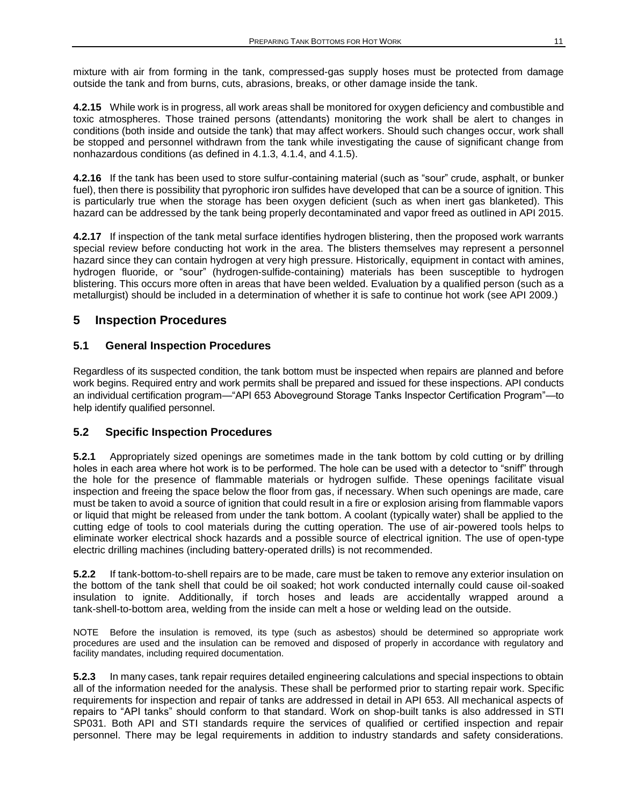mixture with air from forming in the tank, compressed-gas supply hoses must be protected from damage outside the tank and from burns, cuts, abrasions, breaks, or other damage inside the tank.

**4.2.15** While work is in progress, all work areas shall be monitored for oxygen deficiency and combustible and toxic atmospheres. Those trained persons (attendants) monitoring the work shall be alert to changes in conditions (both inside and outside the tank) that may affect workers. Should such changes occur, work shall be stopped and personnel withdrawn from the tank while investigating the cause of significant change from nonhazardous conditions (as defined in 4.1.3, 4.1.4, and 4.1.5).

**4.2.16** If the tank has been used to store sulfur-containing material (such as "sour" crude, asphalt, or bunker fuel), then there is possibility that pyrophoric iron sulfides have developed that can be a source of ignition. This is particularly true when the storage has been oxygen deficient (such as when inert gas blanketed). This hazard can be addressed by the tank being properly decontaminated and vapor freed as outlined in API 2015.

**4.2.17** If inspection of the tank metal surface identifies hydrogen blistering, then the proposed work warrants special review before conducting hot work in the area. The blisters themselves may represent a personnel hazard since they can contain hydrogen at very high pressure. Historically, equipment in contact with amines, hydrogen fluoride, or "sour" (hydrogen-sulfide-containing) materials has been susceptible to hydrogen blistering. This occurs more often in areas that have been welded. Evaluation by a qualified person (such as a metallurgist) should be included in a determination of whether it is safe to continue hot work (see API 2009.)

# **5 Inspection Procedures**

# **5.1 General Inspection Procedures**

Regardless of its suspected condition, the tank bottom must be inspected when repairs are planned and before work begins. Required entry and work permits shall be prepared and issued for these inspections. API conducts an individual certification program—"API 653 Aboveground Storage Tanks Inspector Certification Program"—to help identify qualified personnel.

# **5.2 Specific Inspection Procedures**

**5.2.1** Appropriately sized openings are sometimes made in the tank bottom by cold cutting or by drilling holes in each area where hot work is to be performed. The hole can be used with a detector to "sniff" through the hole for the presence of flammable materials or hydrogen sulfide. These openings facilitate visual inspection and freeing the space below the floor from gas, if necessary. When such openings are made, care must be taken to avoid a source of ignition that could result in a fire or explosion arising from flammable vapors or liquid that might be released from under the tank bottom. A coolant (typically water) shall be applied to the cutting edge of tools to cool materials during the cutting operation. The use of air-powered tools helps to eliminate worker electrical shock hazards and a possible source of electrical ignition. The use of open-type electric drilling machines (including battery-operated drills) is not recommended.

**5.2.2** If tank-bottom-to-shell repairs are to be made, care must be taken to remove any exterior insulation on the bottom of the tank shell that could be oil soaked; hot work conducted internally could cause oil-soaked insulation to ignite. Additionally, if torch hoses and leads are accidentally wrapped around a tank-shell-to-bottom area, welding from the inside can melt a hose or welding lead on the outside.

NOTE Before the insulation is removed, its type (such as asbestos) should be determined so appropriate work procedures are used and the insulation can be removed and disposed of properly in accordance with regulatory and facility mandates, including required documentation.

**5.2.3** In many cases, tank repair requires detailed engineering calculations and special inspections to obtain all of the information needed for the analysis. These shall be performed prior to starting repair work. Specific requirements for inspection and repair of tanks are addressed in detail in API 653. All mechanical aspects of repairs to "API tanks" should conform to that standard. Work on shop-built tanks is also addressed in STI SP031. Both API and STI standards require the services of qualified or certified inspection and repair personnel. There may be legal requirements in addition to industry standards and safety considerations.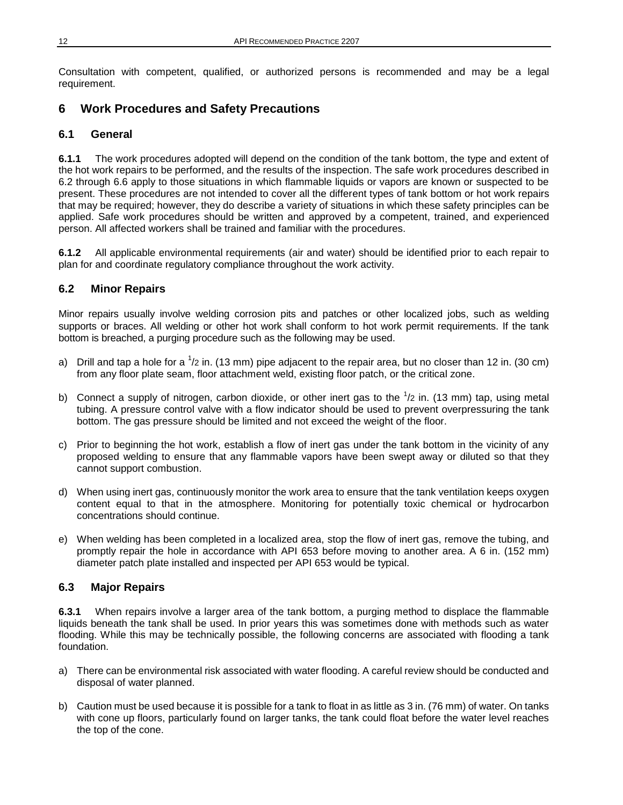Consultation with competent, qualified, or authorized persons is recommended and may be a legal requirement.

# **6 Work Procedures and Safety Precautions**

# **6.1 General**

**6.1.1** The work procedures adopted will depend on the condition of the tank bottom, the type and extent of the hot work repairs to be performed, and the results of the inspection. The safe work procedures described in 6.2 through 6.6 apply to those situations in which flammable liquids or vapors are known or suspected to be present. These procedures are not intended to cover all the different types of tank bottom or hot work repairs that may be required; however, they do describe a variety of situations in which these safety principles can be applied. Safe work procedures should be written and approved by a competent, trained, and experienced person. All affected workers shall be trained and familiar with the procedures.

**6.1.2** All applicable environmental requirements (air and water) should be identified prior to each repair to plan for and coordinate regulatory compliance throughout the work activity.

# **6.2 Minor Repairs**

Minor repairs usually involve welding corrosion pits and patches or other localized jobs, such as welding supports or braces. All welding or other hot work shall conform to hot work permit requirements. If the tank bottom is breached, a purging procedure such as the following may be used.

- a) Drill and tap a hole for a  $1/2$  in. (13 mm) pipe adjacent to the repair area, but no closer than 12 in. (30 cm) from any floor plate seam, floor attachment weld, existing floor patch, or the critical zone.
- b) Connect a supply of nitrogen, carbon dioxide, or other inert gas to the  $1/2$  in. (13 mm) tap, using metal tubing. A pressure control valve with a flow indicator should be used to prevent overpressuring the tank bottom. The gas pressure should be limited and not exceed the weight of the floor.
- c) Prior to beginning the hot work, establish a flow of inert gas under the tank bottom in the vicinity of any proposed welding to ensure that any flammable vapors have been swept away or diluted so that they cannot support combustion.
- d) When using inert gas, continuously monitor the work area to ensure that the tank ventilation keeps oxygen content equal to that in the atmosphere. Monitoring for potentially toxic chemical or hydrocarbon concentrations should continue.
- e) When welding has been completed in a localized area, stop the flow of inert gas, remove the tubing, and promptly repair the hole in accordance with API 653 before moving to another area. A 6 in. (152 mm) diameter patch plate installed and inspected per API 653 would be typical.

# **6.3 Major Repairs**

**6.3.1** When repairs involve a larger area of the tank bottom, a purging method to displace the flammable liquids beneath the tank shall be used. In prior years this was sometimes done with methods such as water flooding. While this may be technically possible, the following concerns are associated with flooding a tank foundation.

- a) There can be environmental risk associated with water flooding. A careful review should be conducted and disposal of water planned.
- b) Caution must be used because it is possible for a tank to float in as little as 3 in. (76 mm) of water. On tanks with cone up floors, particularly found on larger tanks, the tank could float before the water level reaches the top of the cone.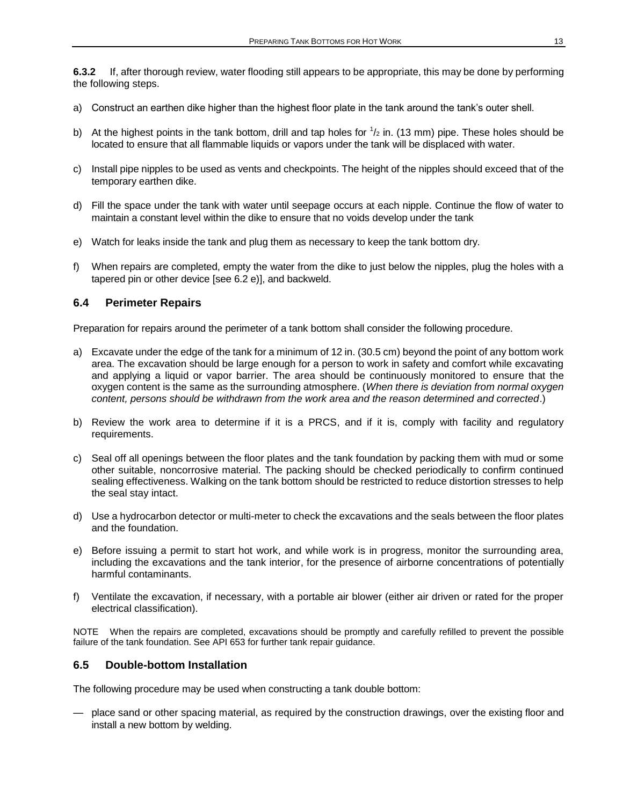**6.3.2** If, after thorough review, water flooding still appears to be appropriate, this may be done by performing the following steps.

- a) Construct an earthen dike higher than the highest floor plate in the tank around the tank's outer shell.
- b) At the highest points in the tank bottom, drill and tap holes for  $1/2$  in. (13 mm) pipe. These holes should be located to ensure that all flammable liquids or vapors under the tank will be displaced with water.
- c) Install pipe nipples to be used as vents and checkpoints. The height of the nipples should exceed that of the temporary earthen dike.
- d) Fill the space under the tank with water until seepage occurs at each nipple. Continue the flow of water to maintain a constant level within the dike to ensure that no voids develop under the tank
- e) Watch for leaks inside the tank and plug them as necessary to keep the tank bottom dry.
- f) When repairs are completed, empty the water from the dike to just below the nipples, plug the holes with a tapered pin or other device [see 6.2 e)], and backweld.

### **6.4 Perimeter Repairs**

Preparation for repairs around the perimeter of a tank bottom shall consider the following procedure.

- a) Excavate under the edge of the tank for a minimum of 12 in. (30.5 cm) beyond the point of any bottom work area. The excavation should be large enough for a person to work in safety and comfort while excavating and applying a liquid or vapor barrier. The area should be continuously monitored to ensure that the oxygen content is the same as the surrounding atmosphere. (*When there is deviation from normal oxygen content, persons should be withdrawn from the work area and the reason determined and corrected*.)
- b) Review the work area to determine if it is a PRCS, and if it is, comply with facility and regulatory requirements.
- c) Seal off all openings between the floor plates and the tank foundation by packing them with mud or some other suitable, noncorrosive material. The packing should be checked periodically to confirm continued sealing effectiveness. Walking on the tank bottom should be restricted to reduce distortion stresses to help the seal stay intact.
- d) Use a hydrocarbon detector or multi-meter to check the excavations and the seals between the floor plates and the foundation.
- e) Before issuing a permit to start hot work, and while work is in progress, monitor the surrounding area, including the excavations and the tank interior, for the presence of airborne concentrations of potentially harmful contaminants.
- f) Ventilate the excavation, if necessary, with a portable air blower (either air driven or rated for the proper electrical classification).

NOTE When the repairs are completed, excavations should be promptly and carefully refilled to prevent the possible failure of the tank foundation. See API 653 for further tank repair guidance.

### **6.5 Double-bottom Installation**

The following procedure may be used when constructing a tank double bottom:

— place sand or other spacing material, as required by the construction drawings, over the existing floor and install a new bottom by welding.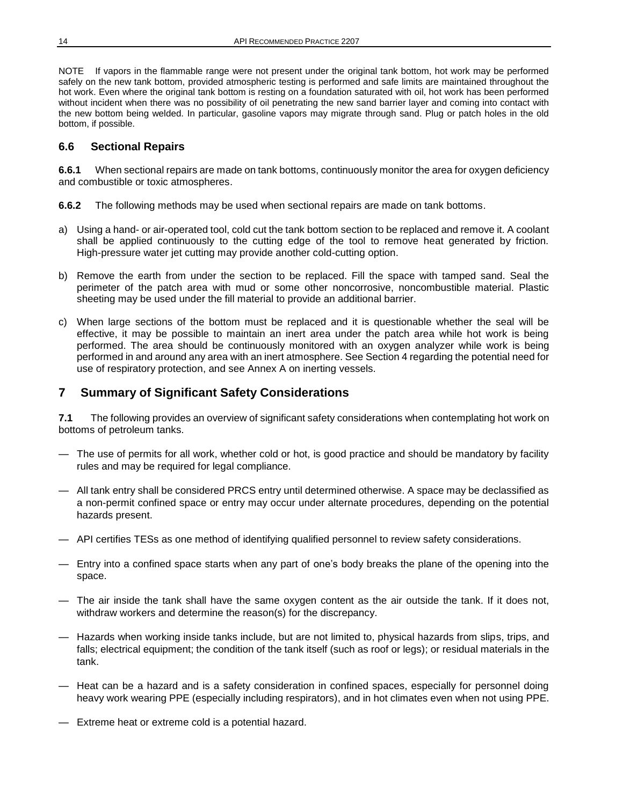NOTE If vapors in the flammable range were not present under the original tank bottom, hot work may be performed safely on the new tank bottom, provided atmospheric testing is performed and safe limits are maintained throughout the hot work. Even where the original tank bottom is resting on a foundation saturated with oil, hot work has been performed without incident when there was no possibility of oil penetrating the new sand barrier layer and coming into contact with the new bottom being welded. In particular, gasoline vapors may migrate through sand. Plug or patch holes in the old bottom, if possible.

### **6.6 Sectional Repairs**

**6.6.1** When sectional repairs are made on tank bottoms, continuously monitor the area for oxygen deficiency and combustible or toxic atmospheres.

**6.6.2** The following methods may be used when sectional repairs are made on tank bottoms.

- a) Using a hand- or air-operated tool, cold cut the tank bottom section to be replaced and remove it. A coolant shall be applied continuously to the cutting edge of the tool to remove heat generated by friction. High-pressure water jet cutting may provide another cold-cutting option.
- b) Remove the earth from under the section to be replaced. Fill the space with tamped sand. Seal the perimeter of the patch area with mud or some other noncorrosive, noncombustible material. Plastic sheeting may be used under the fill material to provide an additional barrier.
- c) When large sections of the bottom must be replaced and it is questionable whether the seal will be effective, it may be possible to maintain an inert area under the patch area while hot work is being performed. The area should be continuously monitored with an oxygen analyzer while work is being performed in and around any area with an inert atmosphere. See Section 4 regarding the potential need for use of respiratory protection, and see Annex A on inerting vessels.

# **7 Summary of Significant Safety Considerations**

**7.1** The following provides an overview of significant safety considerations when contemplating hot work on bottoms of petroleum tanks.

- The use of permits for all work, whether cold or hot, is good practice and should be mandatory by facility rules and may be required for legal compliance.
- All tank entry shall be considered PRCS entry until determined otherwise. A space may be declassified as a non-permit confined space or entry may occur under alternate procedures, depending on the potential hazards present.
- API certifies TESs as one method of identifying qualified personnel to review safety considerations.
- Entry into a confined space starts when any part of one's body breaks the plane of the opening into the space.
- The air inside the tank shall have the same oxygen content as the air outside the tank. If it does not, withdraw workers and determine the reason(s) for the discrepancy.
- Hazards when working inside tanks include, but are not limited to, physical hazards from slips, trips, and falls; electrical equipment; the condition of the tank itself (such as roof or legs); or residual materials in the tank.
- Heat can be a hazard and is a safety consideration in confined spaces, especially for personnel doing heavy work wearing PPE (especially including respirators), and in hot climates even when not using PPE.
- Extreme heat or extreme cold is a potential hazard.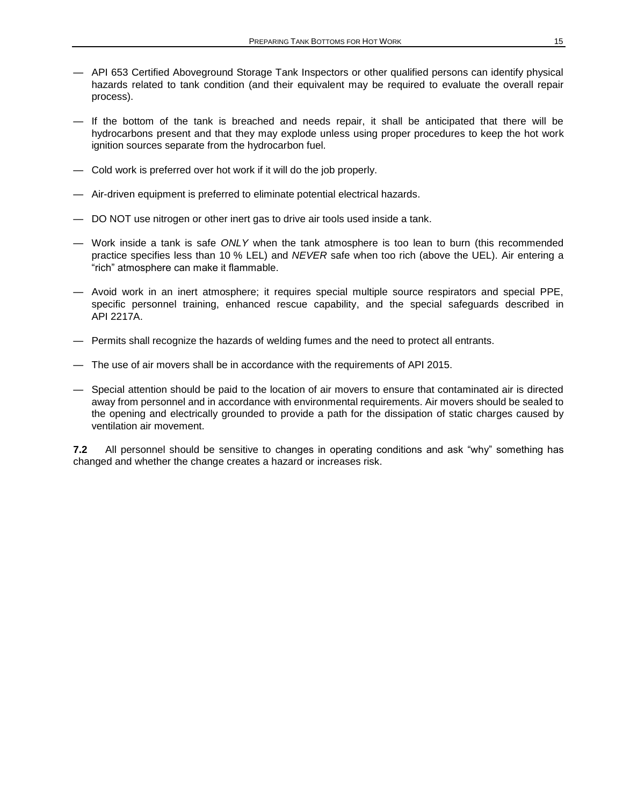- API 653 Certified Aboveground Storage Tank Inspectors or other qualified persons can identify physical hazards related to tank condition (and their equivalent may be required to evaluate the overall repair process).
- If the bottom of the tank is breached and needs repair, it shall be anticipated that there will be hydrocarbons present and that they may explode unless using proper procedures to keep the hot work ignition sources separate from the hydrocarbon fuel.
- Cold work is preferred over hot work if it will do the job properly.
- Air-driven equipment is preferred to eliminate potential electrical hazards.
- DO NOT use nitrogen or other inert gas to drive air tools used inside a tank.
- Work inside a tank is safe *ONLY* when the tank atmosphere is too lean to burn (this recommended practice specifies less than 10 % LEL) and *NEVER* safe when too rich (above the UEL). Air entering a "rich" atmosphere can make it flammable.
- Avoid work in an inert atmosphere; it requires special multiple source respirators and special PPE, specific personnel training, enhanced rescue capability, and the special safeguards described in API 2217A.
- Permits shall recognize the hazards of welding fumes and the need to protect all entrants.
- The use of air movers shall be in accordance with the requirements of API 2015.
- Special attention should be paid to the location of air movers to ensure that contaminated air is directed away from personnel and in accordance with environmental requirements. Air movers should be sealed to the opening and electrically grounded to provide a path for the dissipation of static charges caused by ventilation air movement.

**7.2** All personnel should be sensitive to changes in operating conditions and ask "why" something has changed and whether the change creates a hazard or increases risk.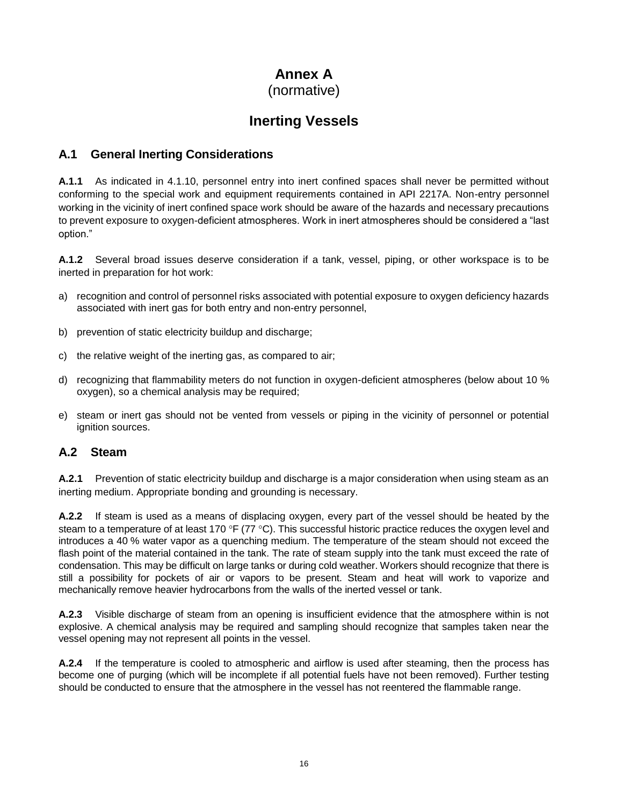# **Annex A**

(normative)

# **Inerting Vessels**

# **A.1 General Inerting Considerations**

**A.1.1** As indicated in 4.1.10, personnel entry into inert confined spaces shall never be permitted without conforming to the special work and equipment requirements contained in API 2217A. Non-entry personnel working in the vicinity of inert confined space work should be aware of the hazards and necessary precautions to prevent exposure to oxygen-deficient atmospheres. Work in inert atmospheres should be considered a "last option."

**A.1.2** Several broad issues deserve consideration if a tank, vessel, piping, or other workspace is to be inerted in preparation for hot work:

- a) recognition and control of personnel risks associated with potential exposure to oxygen deficiency hazards associated with inert gas for both entry and non-entry personnel,
- b) prevention of static electricity buildup and discharge;
- c) the relative weight of the inerting gas, as compared to air;
- d) recognizing that flammability meters do not function in oxygen-deficient atmospheres (below about 10 % oxygen), so a chemical analysis may be required;
- e) steam or inert gas should not be vented from vessels or piping in the vicinity of personnel or potential ignition sources.

# **A.2 Steam**

**A.2.1** Prevention of static electricity buildup and discharge is a major consideration when using steam as an inerting medium. Appropriate bonding and grounding is necessary.

**A.2.2** If steam is used as a means of displacing oxygen, every part of the vessel should be heated by the steam to a temperature of at least 170  $\degree$ F (77  $\degree$ C). This successful historic practice reduces the oxygen level and introduces a 40 % water vapor as a quenching medium. The temperature of the steam should not exceed the flash point of the material contained in the tank. The rate of steam supply into the tank must exceed the rate of condensation. This may be difficult on large tanks or during cold weather. Workers should recognize that there is still a possibility for pockets of air or vapors to be present. Steam and heat will work to vaporize and mechanically remove heavier hydrocarbons from the walls of the inerted vessel or tank.

**A.2.3** Visible discharge of steam from an opening is insufficient evidence that the atmosphere within is not explosive. A chemical analysis may be required and sampling should recognize that samples taken near the vessel opening may not represent all points in the vessel.

**A.2.4** If the temperature is cooled to atmospheric and airflow is used after steaming, then the process has become one of purging (which will be incomplete if all potential fuels have not been removed). Further testing should be conducted to ensure that the atmosphere in the vessel has not reentered the flammable range.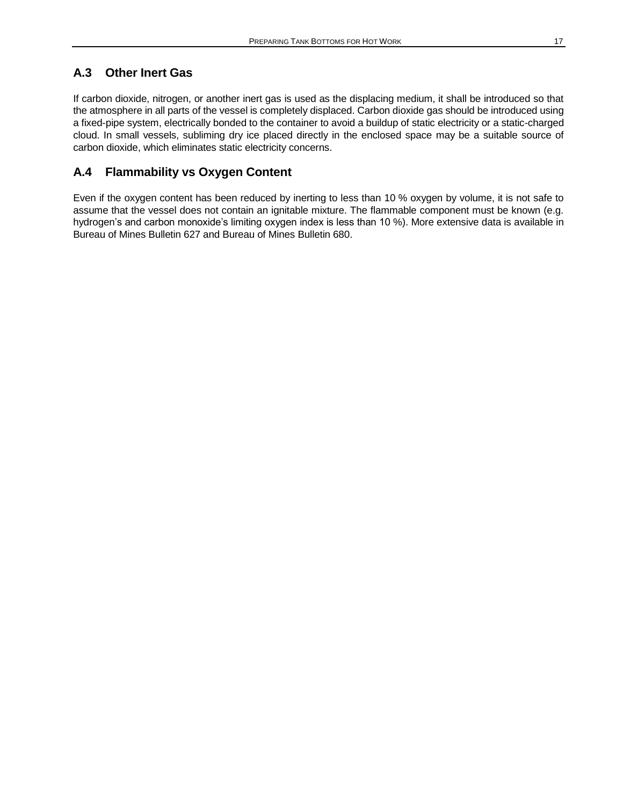# **A.3 Other Inert Gas**

If carbon dioxide, nitrogen, or another inert gas is used as the displacing medium, it shall be introduced so that the atmosphere in all parts of the vessel is completely displaced. Carbon dioxide gas should be introduced using a fixed-pipe system, electrically bonded to the container to avoid a buildup of static electricity or a static-charged cloud. In small vessels, subliming dry ice placed directly in the enclosed space may be a suitable source of carbon dioxide, which eliminates static electricity concerns.

# **A.4 Flammability vs Oxygen Content**

Even if the oxygen content has been reduced by inerting to less than 10 % oxygen by volume, it is not safe to assume that the vessel does not contain an ignitable mixture. The flammable component must be known (e.g. hydrogen's and carbon monoxide's limiting oxygen index is less than 10 %). More extensive data is available in Bureau of Mines Bulletin 627 and Bureau of Mines Bulletin 680.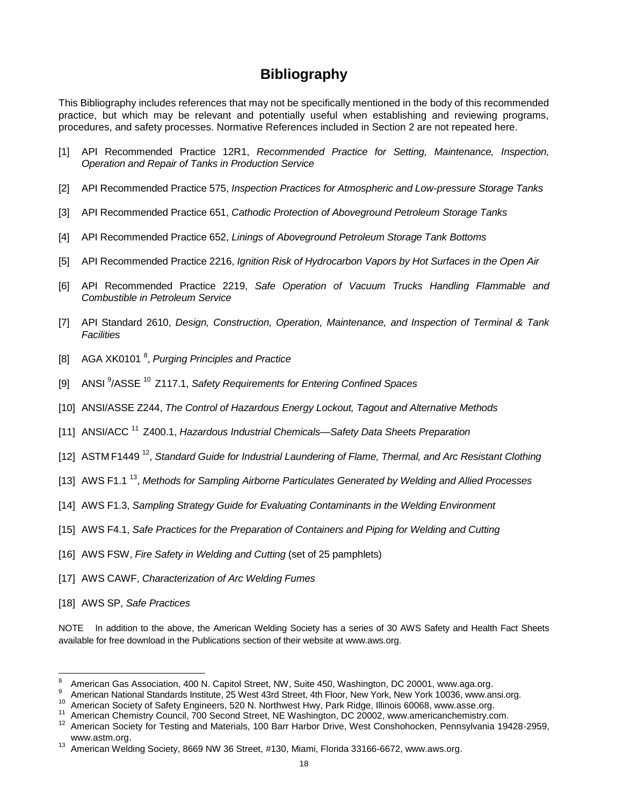# **Bibliography**

This Bibliography includes references that may not be specifically mentioned in the body of this recommended practice, but which may be relevant and potentially useful when establishing and reviewing programs, procedures, and safety processes. Normative References included in Section 2 are not repeated here.

- [1] API Recommended Practice 12R1, *Recommended Practice for Setting, Maintenance, Inspection, Operation and Repair of Tanks in Production Service*
- [2] API Recommended Practice 575, *Inspection Practices for Atmospheric and Low-pressure Storage Tanks*
- [3] API Recommended Practice 651, *Cathodic Protection of Aboveground Petroleum Storage Tanks*
- [4] API Recommended Practice 652, *Linings of Aboveground Petroleum Storage Tank Bottoms*
- [5] API Recommended Practice 2216, *Ignition Risk of Hydrocarbon Vapors by Hot Surfaces in the Open Air*
- [6] API Recommended Practice 2219, *Safe Operation of Vacuum Trucks Handling Flammable and Combustible in Petroleum Service*
- [7] API Standard 2610, *Design, Construction, Operation, Maintenance, and Inspection of Terminal & Tank Facilities*
- [8] AGA XK0101 <sup>8</sup> , *Purging Principles and Practice*
- [9] ANSI <sup>9</sup> /ASSE <sup>10</sup> Z117.1, *Safety Requirements for Entering Confined Spaces*
- [10] ANSI/ASSE Z244, *The Control of Hazardous Energy Lockout, Tagout and Alternative Methods*
- [11] ANSI/ACC<sup>11</sup> Z400.1, *Hazardous Industrial Chemicals*—Safety Data Sheets Preparation
- [12] ASTM F1449<sup>12</sup>, Standard Guide for Industrial Laundering of Flame, Thermal, and Arc Resistant Clothing
- [13] AWS F1.1<sup>13</sup>, Methods for Sampling Airborne Particulates Generated by Welding and Allied Processes
- [14] AWS F1.3, *Sampling Strategy Guide for Evaluating Contaminants in the Welding Environment*
- [15] AWS F4.1, *Safe Practices for the Preparation of Containers and Piping for Welding and Cutting*
- [16] AWS FSW, Fire Safety in Welding and Cutting (set of 25 pamphlets)
- [17] AWS CAWF, *Characterization of Arc Welding Fumes*
- [18] AWS SP, *Safe Practices*

NOTE In addition to the above, the American Welding Society has a series of 30 AWS Safety and Health Fact Sheets available for free download in the Publications section of their website at www.aws.org.

<sup>-&</sup>lt;br>8 American Gas Association, 400 N. Capitol Street, NW, Suite 450, Washington, DC 20001, www.aga.org.

<sup>9</sup> American National Standards Institute, 25 West 43rd Street, 4th Floor, New York, New York 10036, www.ansi.org.

<sup>10</sup> American Society of Safety Engineers, 520 N. Northwest Hwy, Park Ridge, Illinois 60068, www.asse.org.

<sup>11</sup> American Chemistry Council, 700 Second Street, NE Washington, DC 20002, www.americanchemistry.com.

<sup>&</sup>lt;sup>12</sup> American Society for Testing and Materials, 100 Barr Harbor Drive, West Conshohocken, Pennsylvania 19428-2959, www.astm.org.

<sup>&</sup>lt;sup>13</sup> American Welding Society, 8669 NW 36 Street, #130, Miami, Florida 33166-6672, www.aws.org.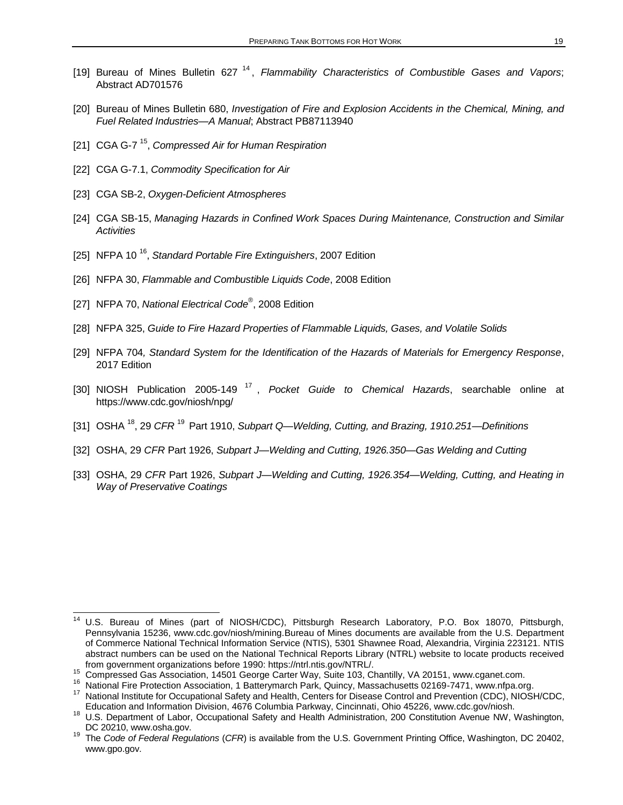- [19] Bureau of Mines Bulletin 627<sup>14</sup>, Flammability Characteristics of Combustible Gases and Vapors; Abstract AD701576
- [20] Bureau of Mines Bulletin 680, *Investigation of Fire and Explosion Accidents in the Chemical, Mining, and Fuel Related Industries—A Manual*; Abstract PB87113940
- [21] CGA G-7 15 , *Compressed Air for Human Respiration*
- [22] CGA G-7.1, *Commodity Specification for Air*
- [23] CGA SB-2, *Oxygen-Deficient Atmospheres*
- [24] CGA SB-15, *Managing Hazards in Confined Work Spaces During Maintenance, Construction and Similar Activities*
- [25] NFPA 10 <sup>16</sup> , *Standard Portable Fire Extinguishers*, 2007 Edition
- [26] NFPA 30, *Flammable and Combustible Liquids Code*, 2008 Edition
- [27] NFPA 70, *National Electrical Code*® , 2008 Edition

l

- [28] NFPA 325, *Guide to Fire Hazard Properties of Flammable Liquids, Gases, and Volatile Solids*
- [29] NFPA 704*, Standard System for the Identification of the Hazards of Materials for Emergency Response*, 2017 Edition
- [30] NIOSH Publication 2005-149 17 , *Pocket Guide to Chemical Hazards*, searchable online at https://www.cdc.gov/niosh/npg/
- [31] OSHA <sup>18</sup>, 29 *CFR* <sup>19</sup> Part 1910, *Subpart Q—Welding, Cutting, and Brazing, 1910.251—Definitions*
- [32] OSHA, 29 *CFR* Part 1926, *Subpart J—Welding and Cutting, 1926.350—Gas Welding and Cutting*
- [33] OSHA, 29 *CFR* Part 1926, *Subpart J—Welding and Cutting, 1926.354—Welding, Cutting, and Heating in Way of Preservative Coatings*

<sup>14</sup> U.S. Bureau of Mines (part of NIOSH/CDC), Pittsburgh Research Laboratory, P.O. Box 18070, Pittsburgh, Pennsylvania 15236, www.cdc.gov/niosh/mining.Bureau of Mines documents are available from the U.S. Department of Commerce National Technical Information Service (NTIS), 5301 Shawnee Road, Alexandria, Virginia 223121. NTIS abstract numbers can be used on the National Technical Reports Library (NTRL) website to locate products received from government organizations before 1990: https://ntrl.ntis.gov/NTRL/.

<sup>15</sup> Compressed Gas Association, 14501 George Carter Way, Suite 103, Chantilly, VA 20151, www.cganet.com.

<sup>&</sup>lt;sup>16</sup> National Fire Protection Association, 1 Batterymarch Park, Quincy, Massachusetts 02169-7471, www.nfpa.org.

<sup>&</sup>lt;sup>17</sup> National Institute for Occupational Safety and Health, Centers for Disease Control and Prevention (CDC), NIOSH/CDC, Education and Information Division, 4676 Columbia Parkway, Cincinnati, Ohio 45226, www.cdc.gov/niosh.

<sup>&</sup>lt;sup>18</sup> U.S. Department of Labor, Occupational Safety and Health Administration, 200 Constitution Avenue NW, Washington, DC 20210, www.osha.gov.

<sup>19</sup> The *Code of Federal Regulations* (*CFR*) is available from the U.S. Government Printing Office, Washington, DC 20402, www.gpo.gov.